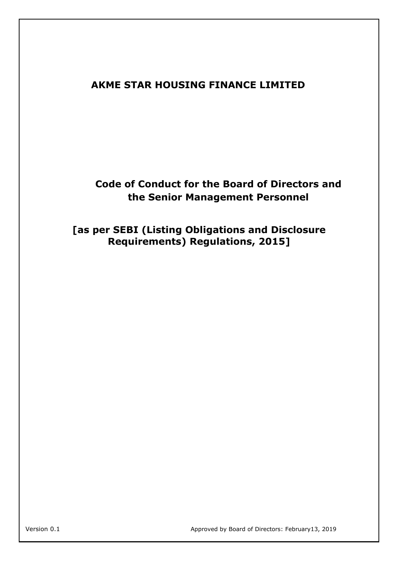## **AKME STAR HOUSING FINANCE LIMITED**

## **Code of Conduct for the Board of Directors and the Senior Management Personnel**

**[as per SEBI (Listing Obligations and Disclosure Requirements) Regulations, 2015]**

Version 0.1 Approved by Board of Directors: February13, 2019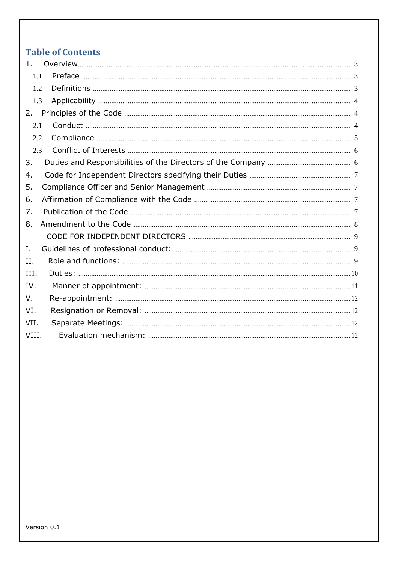# **Table of Contents**

| 1.    |  |  |  |
|-------|--|--|--|
| 1.1   |  |  |  |
| 1.2   |  |  |  |
| 1.3   |  |  |  |
| 2.    |  |  |  |
| 2.1   |  |  |  |
| 2.2   |  |  |  |
| 2.3   |  |  |  |
| 3.    |  |  |  |
| 4.    |  |  |  |
| 5.    |  |  |  |
| 6.    |  |  |  |
| 7.    |  |  |  |
| 8.    |  |  |  |
|       |  |  |  |
| Ι.    |  |  |  |
| II.   |  |  |  |
| III.  |  |  |  |
| IV.   |  |  |  |
| V.    |  |  |  |
| VI.   |  |  |  |
| VII.  |  |  |  |
| VIII. |  |  |  |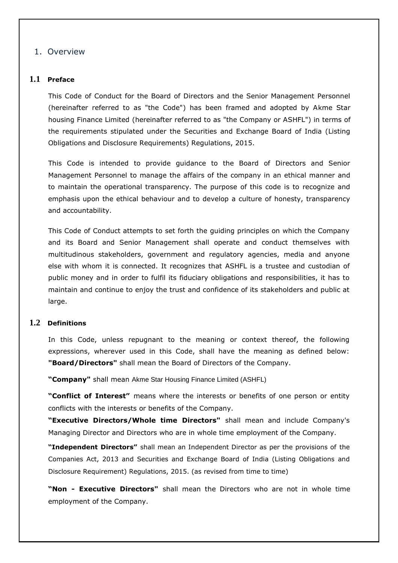## <span id="page-2-0"></span>1. Overview

#### **1.1 Preface**

This Code of Conduct for the Board of Directors and the Senior Management Personnel (hereinafter referred to as "the Code") has been framed and adopted by Akme Star housing Finance Limited (hereinafter referred to as "the Company or ASHFL") in terms of the requirements stipulated under the Securities and Exchange Board of India (Listing Obligations and Disclosure Requirements) Regulations, 2015.

This Code is intended to provide guidance to the Board of Directors and Senior Management Personnel to manage the affairs of the company in an ethical manner and to maintain the operational transparency. The purpose of this code is to recognize and emphasis upon the ethical behaviour and to develop a culture of honesty, transparency and accountability.

This Code of Conduct attempts to set forth the guiding principles on which the Company and its Board and Senior Management shall operate and conduct themselves with multitudinous stakeholders, government and regulatory agencies, media and anyone else with whom it is connected. It recognizes that ASHFL is a trustee and custodian of public money and in order to fulfil its fiduciary obligations and responsibilities, it has to maintain and continue to enjoy the trust and confidence of its stakeholders and public at large.

#### **1.2 Definitions**

In this Code, unless repugnant to the meaning or context thereof, the following expressions, wherever used in this Code, shall have the meaning as defined below: **"Board/Directors"** shall mean the Board of Directors of the Company.

**"Company"** shall mean Akme Star Housing Finance Limited (ASHFL)

**"Conflict of Interest"** means where the interests or benefits of one person or entity conflicts with the interests or benefits of the Company.

**"Executive Directors/Whole time Directors"** shall mean and include Company's Managing Director and Directors who are in whole time employment of the Company.

**"Independent Directors"** shall mean an Independent Director as per the provisions of the Companies Act, 2013 and Securities and Exchange Board of India (Listing Obligations and Disclosure Requirement) Regulations, 2015. (as revised from time to time)

**"Non - Executive Directors"** shall mean the Directors who are not in whole time employment of the Company.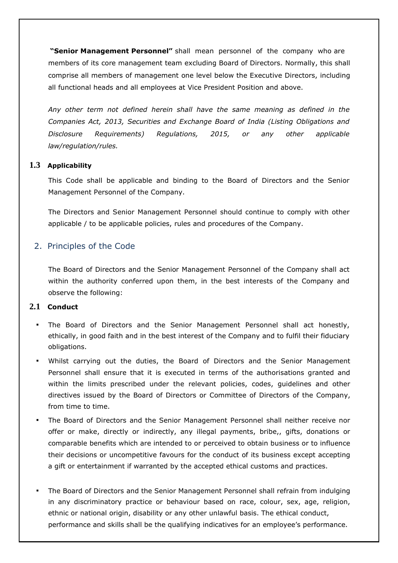<span id="page-3-0"></span>**"Senior Management Personnel"** shall mean personnel of the company who are members of its core management team excluding Board of Directors. Normally, this shall comprise all members of management one level below the Executive Directors, including all functional heads and all employees at Vice President Position and above.

*Any other term not defined herein shall have the same meaning as defined in the Companies Act, 2013, Securities and Exchange Board of India (Listing Obligations and Disclosure Requirements) Regulations, 2015, or any other applicable law/regulation/rules.*

## **1.3 Applicability**

This Code shall be applicable and binding to the Board of Directors and the Senior Management Personnel of the Company.

The Directors and Senior Management Personnel should continue to comply with other applicable / to be applicable policies, rules and procedures of the Company.

## 2. Principles of the Code

The Board of Directors and the Senior Management Personnel of the Company shall act within the authority conferred upon them, in the best interests of the Company and observe the following:

## **2.1 Conduct**

- The Board of Directors and the Senior Management Personnel shall act honestly, ethically, in good faith and in the best interest of the Company and to fulfil their fiduciary obligations.
- Whilst carrying out the duties, the Board of Directors and the Senior Management Personnel shall ensure that it is executed in terms of the authorisations granted and within the limits prescribed under the relevant policies, codes, guidelines and other directives issued by the Board of Directors or Committee of Directors of the Company, from time to time.
- The Board of Directors and the Senior Management Personnel shall neither receive nor offer or make, directly or indirectly, any illegal payments, bribe,, gifts, donations or comparable benefits which are intended to or perceived to obtain business or to influence their decisions or uncompetitive favours for the conduct of its business except accepting a gift or entertainment if warranted by the accepted ethical customs and practices.
- The Board of Directors and the Senior Management Personnel shall refrain from indulging in any discriminatory practice or behaviour based on race, colour, sex, age, religion, ethnic or national origin, disability or any other unlawful basis. The ethical conduct, performance and skills shall be the qualifying indicatives for an employee's performance.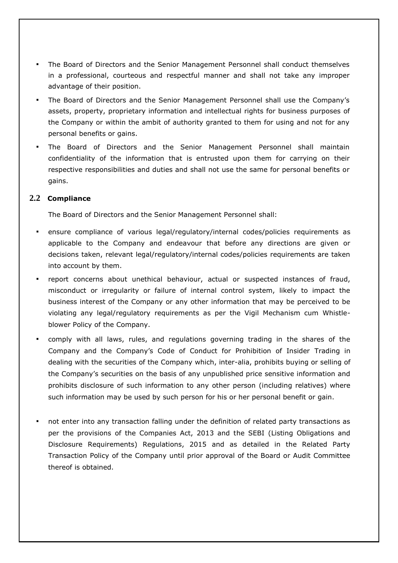- <span id="page-4-0"></span>The Board of Directors and the Senior Management Personnel shall conduct themselves in a professional, courteous and respectful manner and shall not take any improper advantage of their position.
- The Board of Directors and the Senior Management Personnel shall use the Company's assets, property, proprietary information and intellectual rights for business purposes of the Company or within the ambit of authority granted to them for using and not for any personal benefits or gains.
- The Board of Directors and the Senior Management Personnel shall maintain confidentiality of the information that is entrusted upon them for carrying on their respective responsibilities and duties and shall not use the same for personal benefits or gains.

### **2.2 Compliance**

The Board of Directors and the Senior Management Personnel shall:

- ensure compliance of various legal/regulatory/internal codes/policies requirements as applicable to the Company and endeavour that before any directions are given or decisions taken, relevant legal/regulatory/internal codes/policies requirements are taken into account by them.
- report concerns about unethical behaviour, actual or suspected instances of fraud, misconduct or irregularity or failure of internal control system, likely to impact the business interest of the Company or any other information that may be perceived to be violating any legal/regulatory requirements as per the Vigil Mechanism cum Whistleblower Policy of the Company.
- comply with all laws, rules, and regulations governing trading in the shares of the Company and the Company's Code of Conduct for Prohibition of Insider Trading in dealing with the securities of the Company which, inter-alia, prohibits buying or selling of the Company's securities on the basis of any unpublished price sensitive information and prohibits disclosure of such information to any other person (including relatives) where such information may be used by such person for his or her personal benefit or gain.
- not enter into any transaction falling under the definition of related party transactions as per the provisions of the Companies Act, 2013 and the SEBI (Listing Obligations and Disclosure Requirements) Regulations, 2015 and as detailed in the Related Party Transaction Policy of the Company until prior approval of the Board or Audit Committee thereof is obtained.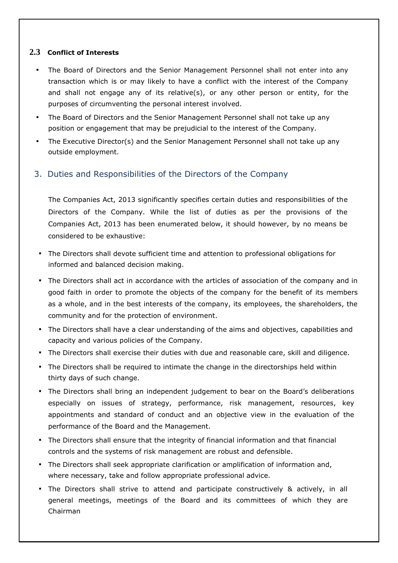### <span id="page-5-0"></span>**2.3 Conflict of Interests**

- The Board of Directors and the Senior Management Personnel shall not enter into any transaction which is or may likely to have a conflict with the interest of the Company and shall not engage any of its relative(s), or any other person or entity, for the purposes of circumventing the personal interest involved.
- The Board of Directors and the Senior Management Personnel shall not take up any position or engagement that may be prejudicial to the interest of the Company.
- The Executive Director(s) and the Senior Management Personnel shall not take up any outside employment.

## 3. Duties and Responsibilities of the Directors of the Company

The Companies Act, 2013 significantly specifies certain duties and responsibilities of the Directors of the Company. While the list of duties as per the provisions of the Companies Act, 2013 has been enumerated below, it should however, by no means be considered to be exhaustive:

- The Directors shall devote sufficient time and attention to professional obligations for informed and balanced decision making.
- The Directors shall act in accordance with the articles of association of the company and in good faith in order to promote the objects of the company for the benefit of its members as a whole, and in the best interests of the company, its employees, the shareholders, the community and for the protection of environment.
- The Directors shall have a clear understanding of the aims and objectives, capabilities and capacity and various policies of the Company.
- The Directors shall exercise their duties with due and reasonable care, skill and diligence.
- **•** The Directors shall be required to intimate the change in the directorships held within thirty days of such change.
- The Directors shall bring an independent judgement to bear on the Board's deliberations especially on issues of strategy, performance, risk management, resources, key appointments and standard of conduct and an objective view in the evaluation of the performance of the Board and the Management.
- The Directors shall ensure that the integrity of financial information and that financial controls and the systems of risk management are robust and defensible.
- **•** The Directors shall seek appropriate clarification or amplification of information and, where necessary, take and follow appropriate professional advice.
- **•** The Directors shall strive to attend and participate constructively & actively, in all general meetings, meetings of the Board and its committees of which they are Chairman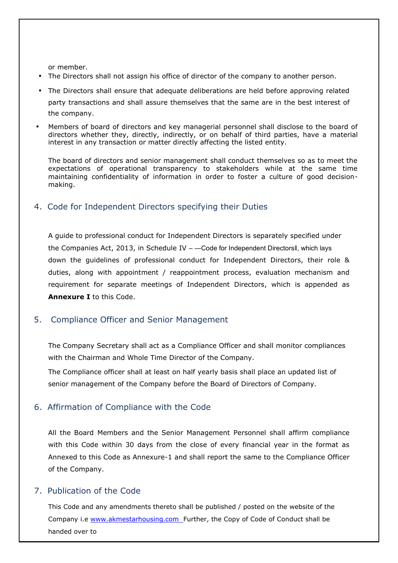<span id="page-6-0"></span>or member.

- The Directors shall not assign his office of director of the company to another person.
- The Directors shall ensure that adequate deliberations are held before approving related party transactions and shall assure themselves that the same are in the best interest of the company.
- Members of board of directors and key managerial personnel shall disclose to the board of directors whether they, directly, indirectly, or on behalf of third parties, have a material interest in any transaction or matter directly affecting the listed entity.

The board of directors and senior management shall conduct themselves so as to meet the expectations of operational transparency to stakeholders while at the same time maintaining confidentiality of information in order to foster a culture of good decisionmaking.

## 4. Code for Independent Directors specifying their Duties

A guide to professional conduct for Independent Directors is separately specified under the Companies Act, 2013, in Schedule IV - - Code for Independent DirectorsII, which lays down the guidelines of professional conduct for Independent Directors, their role & duties, along with appointment / reappointment process, evaluation mechanism and requirement for separate meetings of Independent Directors, which is appended as **Annexure I** to this Code.

## 5. Compliance Officer and Senior Management

The Company Secretary shall act as a Compliance Officer and shall monitor compliances with the Chairman and Whole Time Director of the Company.

The Compliance officer shall at least on half yearly basis shall place an updated list of senior management of the Company before the Board of Directors of Company.

## 6. Affirmation of Compliance with the Code

All the Board Members and the Senior Management Personnel shall affirm compliance with this Code within 30 days from the close of every financial year in the format as Annexed to this Code as Annexure-1 and shall report the same to the Compliance Officer of the Company.

## 7. Publication of the Code

This Code and any amendments thereto shall be published / posted on the website of the Company i.e www.akmestarhousing.com Further, the Copy of Code of Conduct shall be handed over to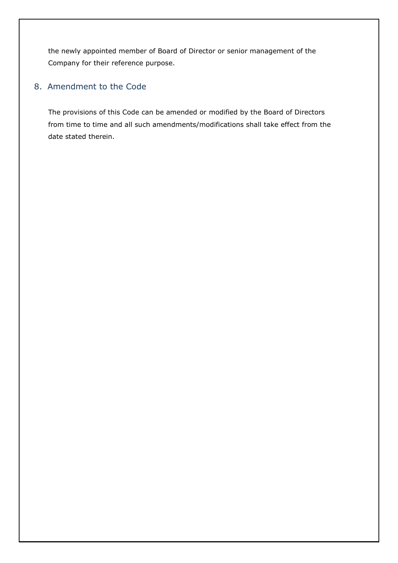<span id="page-7-0"></span>the newly appointed member of Board of Director or senior management of the Company for their reference purpose.

## 8. Amendment to the Code

The provisions of this Code can be amended or modified by the Board of Directors from time to time and all such amendments/modifications shall take effect from the date stated therein.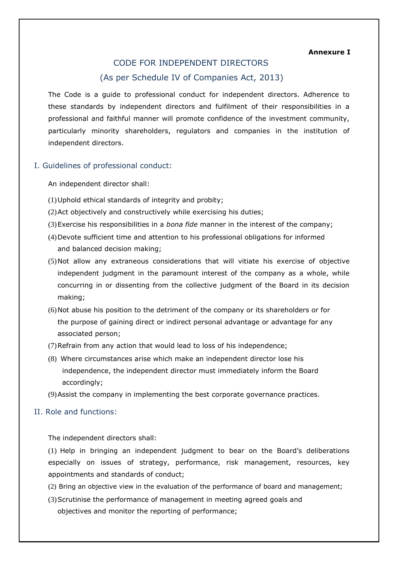**Annexure I**

## CODE FOR INDEPENDENT DIRECTORS (As per Schedule IV of Companies Act, 2013)

<span id="page-8-0"></span>The Code is a guide to professional conduct for independent directors. Adherence to these standards by independent directors and fulfilment of their responsibilities in a professional and faithful manner will promote confidence of the investment community, particularly minority shareholders, regulators and companies in the institution of independent directors.

#### I. Guidelines of professional conduct:

An independent director shall:

- (1)Uphold ethical standards of integrity and probity;
- (2)Act objectively and constructively while exercising his duties;
- (3)Exercise his responsibilities in a *bona fide* manner in the interest of the company;
- (4)Devote sufficient time and attention to his professional obligations for informed and balanced decision making;
- (5)Not allow any extraneous considerations that will vitiate his exercise of objective independent judgment in the paramount interest of the company as a whole, while concurring in or dissenting from the collective judgment of the Board in its decision making;
- (6)Not abuse his position to the detriment of the company or its shareholders or for the purpose of gaining direct or indirect personal advantage or advantage for any associated person;
- (7)Refrain from any action that would lead to loss of his independence;
- (8) Where circumstances arise which make an independent director lose his independence, the independent director must immediately inform the Board accordingly;
- (9)Assist the company in implementing the best corporate governance practices.

#### II. Role and functions:

The independent directors shall:

(1) Help in bringing an independent judgment to bear on the Board's deliberations especially on issues of strategy, performance, risk management, resources, key appointments and standards of conduct;

- (2) Bring an objective view in the evaluation of the performance of board and management;
- (3)Scrutinise the performance of management in meeting agreed goals and objectives and monitor the reporting of performance;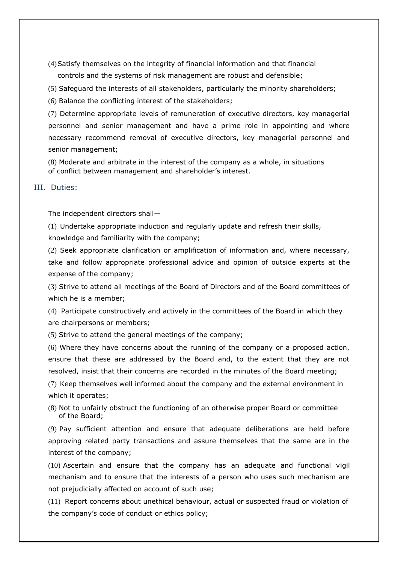- <span id="page-9-0"></span>(4)Satisfy themselves on the integrity of financial information and that financial controls and the systems of risk management are robust and defensible;
- (5) Safeguard the interests of all stakeholders, particularly the minority shareholders;
- (6) Balance the conflicting interest of the stakeholders;

(7) Determine appropriate levels of remuneration of executive directors, key managerial personnel and senior management and have a prime role in appointing and where necessary recommend removal of executive directors, key managerial personnel and senior management;

(8) Moderate and arbitrate in the interest of the company as a whole, in situations of conflict between management and shareholder's interest.

### III. Duties:

The independent directors shall—

(1) Undertake appropriate induction and regularly update and refresh their skills, knowledge and familiarity with the company;

(2) Seek appropriate clarification or amplification of information and, where necessary, take and follow appropriate professional advice and opinion of outside experts at the expense of the company;

(3) Strive to attend all meetings of the Board of Directors and of the Board committees of which he is a member;

(4) Participate constructively and actively in the committees of the Board in which they are chairpersons or members;

(5) Strive to attend the general meetings of the company;

(6) Where they have concerns about the running of the company or a proposed action, ensure that these are addressed by the Board and, to the extent that they are not resolved, insist that their concerns are recorded in the minutes of the Board meeting;

(7) Keep themselves well informed about the company and the external environment in which it operates;

(8) Not to unfairly obstruct the functioning of an otherwise proper Board or committee of the Board;

(9) Pay sufficient attention and ensure that adequate deliberations are held before approving related party transactions and assure themselves that the same are in the interest of the company;

(10) Ascertain and ensure that the company has an adequate and functional vigil mechanism and to ensure that the interests of a person who uses such mechanism are not prejudicially affected on account of such use;

(11) Report concerns about unethical behaviour, actual or suspected fraud or violation of the company's code of conduct or ethics policy;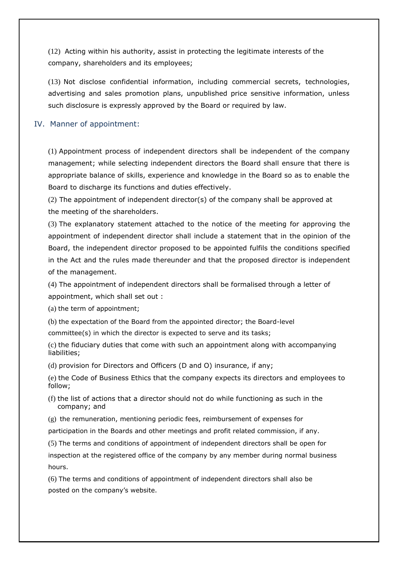<span id="page-10-0"></span>(12) Acting within his authority, assist in protecting the legitimate interests of the company, shareholders and its employees;

(13) Not disclose confidential information, including commercial secrets, technologies, advertising and sales promotion plans, unpublished price sensitive information, unless such disclosure is expressly approved by the Board or required by law.

#### IV. Manner of appointment:

(1) Appointment process of independent directors shall be independent of the company management; while selecting independent directors the Board shall ensure that there is appropriate balance of skills, experience and knowledge in the Board so as to enable the Board to discharge its functions and duties effectively.

(2) The appointment of independent director(s) of the company shall be approved at the meeting of the shareholders.

(3) The explanatory statement attached to the notice of the meeting for approving the appointment of independent director shall include a statement that in the opinion of the Board, the independent director proposed to be appointed fulfils the conditions specified in the Act and the rules made thereunder and that the proposed director is independent of the management.

(4) The appointment of independent directors shall be formalised through a letter of appointment, which shall set out :

(a) the term of appointment;

(b) the expectation of the Board from the appointed director; the Board-level

committee(s) in which the director is expected to serve and its tasks;

(c) the fiduciary duties that come with such an appointment along with accompanying liabilities;

(d) provision for Directors and Officers (D and O) insurance, if any;

(e) the Code of Business Ethics that the company expects its directors and employees to follow;

(f) the list of actions that a director should not do while functioning as such in the company; and

(g) the remuneration, mentioning periodic fees, reimbursement of expenses for participation in the Boards and other meetings and profit related commission, if any.

(5) The terms and conditions of appointment of independent directors shall be open for

inspection at the registered office of the company by any member during normal business hours.

(6) The terms and conditions of appointment of independent directors shall also be posted on the company's website.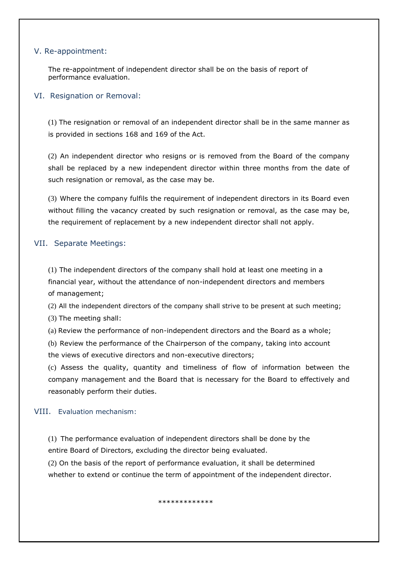#### <span id="page-11-0"></span>V. Re-appointment:

The re-appointment of independent director shall be on the basis of report of performance evaluation.

#### VI. Resignation or Removal:

(1) The resignation or removal of an independent director shall be in the same manner as is provided in sections 168 and 169 of the Act.

(2) An independent director who resigns or is removed from the Board of the company shall be replaced by a new independent director within three months from the date of such resignation or removal, as the case may be.

(3) Where the company fulfils the requirement of independent directors in its Board even without filling the vacancy created by such resignation or removal, as the case may be, the requirement of replacement by a new independent director shall not apply.

### VII. Separate Meetings:

(1) The independent directors of the company shall hold at least one meeting in a financial year, without the attendance of non-independent directors and members of management;

(2) All the independent directors of the company shall strive to be present at such meeting;

(3) The meeting shall:

(a) Review the performance of non-independent directors and the Board as a whole;

(b) Review the performance of the Chairperson of the company, taking into account the views of executive directors and non-executive directors;

(c) Assess the quality, quantity and timeliness of flow of information between the company management and the Board that is necessary for the Board to effectively and reasonably perform their duties.

#### VIII. Evaluation mechanism:

(1) The performance evaluation of independent directors shall be done by the entire Board of Directors, excluding the director being evaluated.

(2) On the basis of the report of performance evaluation, it shall be determined whether to extend or continue the term of appointment of the independent director.

#### \*\*\*\*\*\*\*\*\*\*\*\*\*